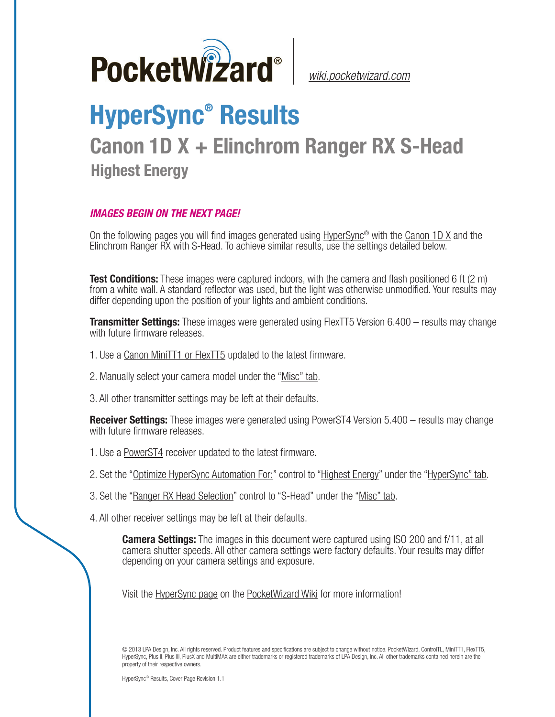

*[wiki.pocketwizard.com](http://wiki.pocketwizard.com/)*

## **HyperSync® Results**

## **Canon 1D X + Elinchrom Ranger RX S-Head Highest Energy**

## *IMAGES BEGIN ON THE NEXT PAGE!*

On the following pages you will find images generated using [HyperSync](http://wiki.pocketwizard.com/index.php?title=Hypersync)® with the [Canon 1D X](http://wiki.pocketwizard.com/index.php?title=Canon_1D_X) and the Elinchrom Ranger RX with S-Head. To achieve similar results, use the settings detailed below.

**Test Conditions:** These images were captured indoors, with the camera and flash positioned 6 ft (2 m) from a white wall. A standard reflector was used, but the light was otherwise unmodified. Your results may differ depending upon the position of your lights and ambient conditions.

**Transmitter Settings:** These images were generated using FlexTT5 Version 6.400 – results may change with future firmware releases.

- 1. Use a [Canon MiniTT1 or FlexTT5](http://wiki.pocketwizard.com/index.php?title=Canon_MiniTT1_and_FlexTT5) updated to the latest firmware.
- 2. Manually select your camera model under the "[Misc" tab.](http://wiki.pocketwizard.com/index.php?title=Misc_Tab)
- 3. All other transmitter settings may be left at their defaults.

**Receiver Settings:** These images were generated using PowerST4 Version 5.400 – results may change with future firmware releases.

- 1. Use a [PowerST4](http://wiki.pocketwizard.com/index.php?title=PowerST4) receiver updated to the latest firmware.
- 2. Set the "[Optimize HyperSync Automation For:](http://wiki.pocketwizard.com/index.php?title=HyperSync/HSS_Tab#Optimize_HyperSync_Automation_For:)" control to ["Highest Energy"](http://wiki.pocketwizard.com/index.php?title=HyperSync/HSS_Tab#Optimize_HyperSync_Automation_For:) under the "[HyperSync" tab.](http://wiki.pocketwizard.com/index.php?title=Hypersync_tab)
- 3. Set the "[Ranger RX Head Selection"](http://wiki.pocketwizard.com/index.php?title=Misc_Tab#Ranger_RX_Head_Selection) control to "S-Head" under the ["Misc" tab](http://wiki.pocketwizard.com/index.php?title=Misc_Tab).
- 4. All other receiver settings may be left at their defaults.

**Camera Settings:** The images in this document were captured using ISO 200 and f/11, at all camera shutter speeds. All other camera settings were factory defaults. Your results may differ depending on your camera settings and exposure.

Visit the [HyperSync page](http://wiki.pocketwizard.com/index.php?title=Hypersync) on the [PocketWizard Wiki](http://wiki.pocketwizard.com/) for more information!

© 2013 LPA Design, Inc. All rights reserved. Product features and specifications are subject to change without notice. PocketWizard, ControlTL, MiniTT1, FlexTT5, HyperSync, Plus II, Plus III, PlusX and MultiMAX are either trademarks or registered trademarks of LPA Design, Inc. All other trademarks contained herein are the property of their respective owners.

HyperSync® Results, Cover Page Revision 1.1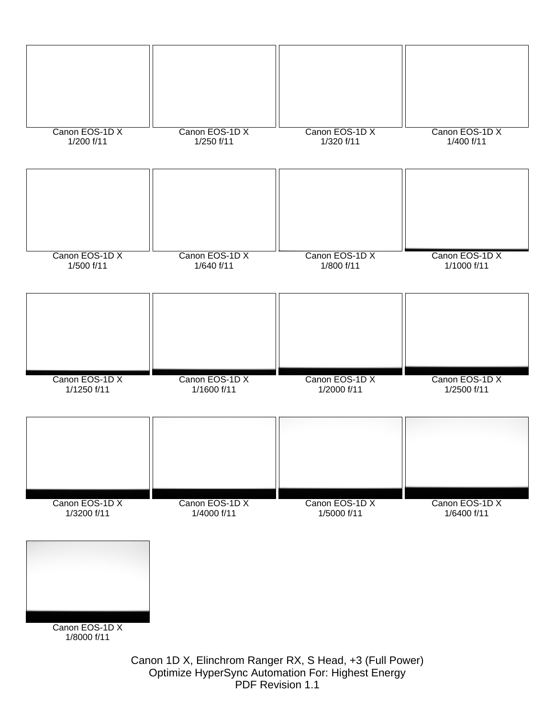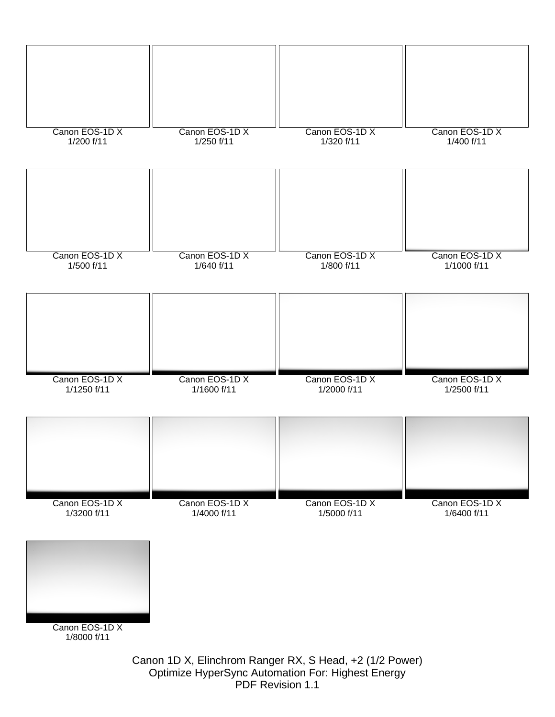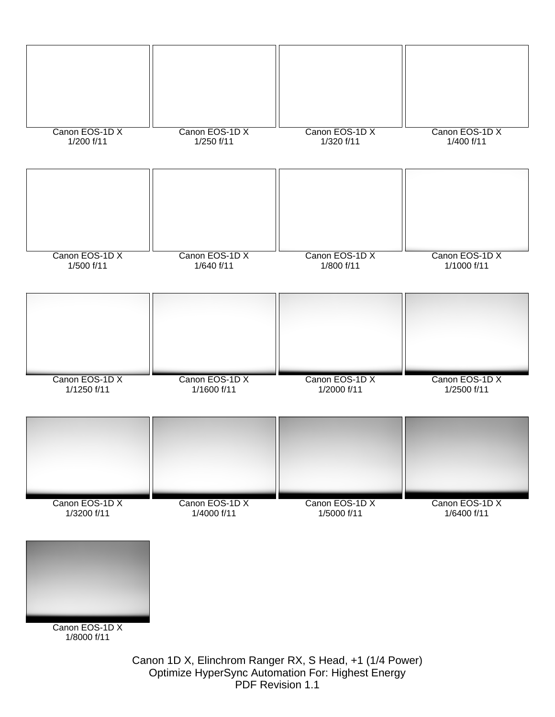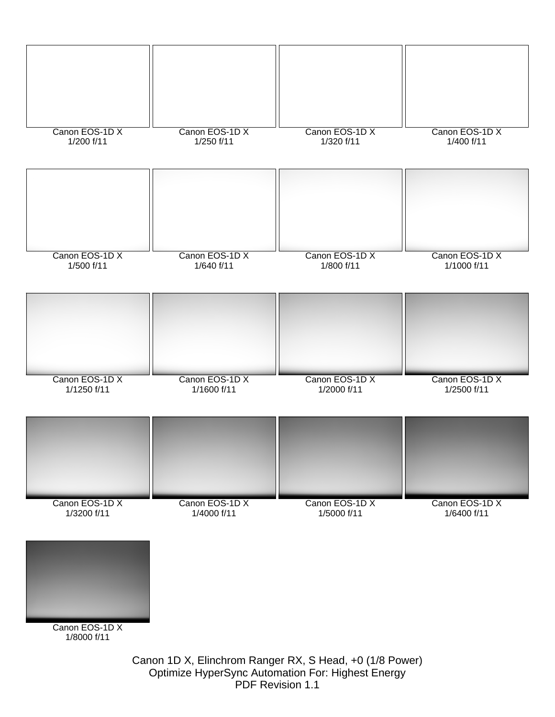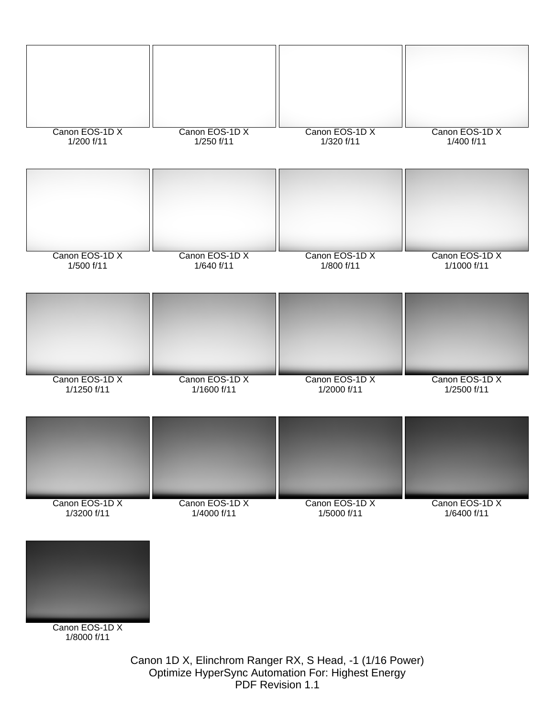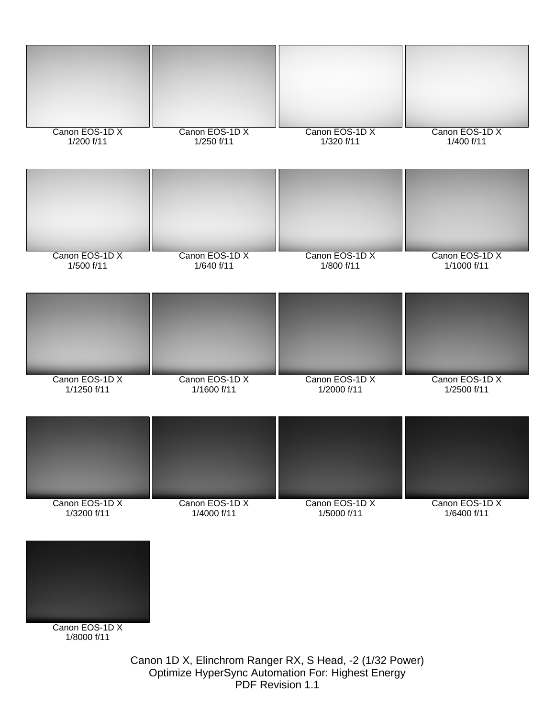